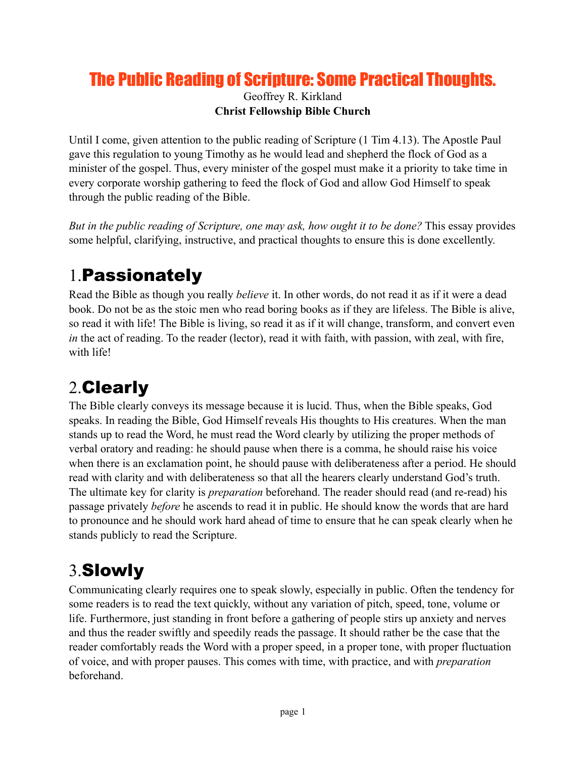### The Public Reading of Scripture: Some Practical Thoughts.

Geoffrey R. Kirkland **Christ Fellowship Bible Church**

Until I come, given attention to the public reading of Scripture (1 Tim 4.13). The Apostle Paul gave this regulation to young Timothy as he would lead and shepherd the flock of God as a minister of the gospel. Thus, every minister of the gospel must make it a priority to take time in every corporate worship gathering to feed the flock of God and allow God Himself to speak through the public reading of the Bible.

*But in the public reading of Scripture, one may ask, how ought it to be done?* This essay provides some helpful, clarifying, instructive, and practical thoughts to ensure this is done excellently.

### 1.Passionately

Read the Bible as though you really *believe* it. In other words, do not read it as if it were a dead book. Do not be as the stoic men who read boring books as if they are lifeless. The Bible is alive, so read it with life! The Bible is living, so read it as if it will change, transform, and convert even *in* the act of reading. To the reader (lector), read it with faith, with passion, with zeal, with fire, with life!

### 2.Clearly

The Bible clearly conveys its message because it is lucid. Thus, when the Bible speaks, God speaks. In reading the Bible, God Himself reveals His thoughts to His creatures. When the man stands up to read the Word, he must read the Word clearly by utilizing the proper methods of verbal oratory and reading: he should pause when there is a comma, he should raise his voice when there is an exclamation point, he should pause with deliberateness after a period. He should read with clarity and with deliberateness so that all the hearers clearly understand God's truth. The ultimate key for clarity is *preparation* beforehand. The reader should read (and re-read) his passage privately *before* he ascends to read it in public. He should know the words that are hard to pronounce and he should work hard ahead of time to ensure that he can speak clearly when he stands publicly to read the Scripture.

## 3.Slowly

Communicating clearly requires one to speak slowly, especially in public. Often the tendency for some readers is to read the text quickly, without any variation of pitch, speed, tone, volume or life. Furthermore, just standing in front before a gathering of people stirs up anxiety and nerves and thus the reader swiftly and speedily reads the passage. It should rather be the case that the reader comfortably reads the Word with a proper speed, in a proper tone, with proper fluctuation of voice, and with proper pauses. This comes with time, with practice, and with *preparation* beforehand.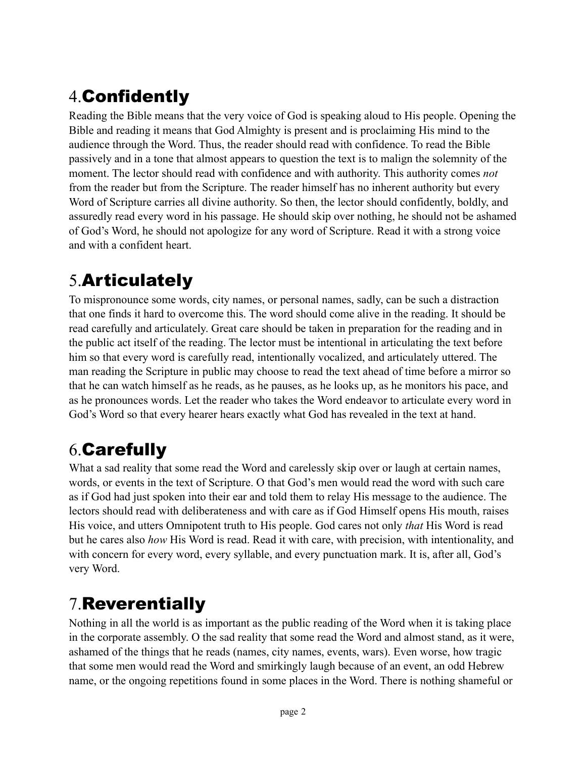# 4.Confidently

Reading the Bible means that the very voice of God is speaking aloud to His people. Opening the Bible and reading it means that God Almighty is present and is proclaiming His mind to the audience through the Word. Thus, the reader should read with confidence. To read the Bible passively and in a tone that almost appears to question the text is to malign the solemnity of the moment. The lector should read with confidence and with authority. This authority comes *not* from the reader but from the Scripture. The reader himself has no inherent authority but every Word of Scripture carries all divine authority. So then, the lector should confidently, boldly, and assuredly read every word in his passage. He should skip over nothing, he should not be ashamed of God's Word, he should not apologize for any word of Scripture. Read it with a strong voice and with a confident heart.

### 5.Articulately

To mispronounce some words, city names, or personal names, sadly, can be such a distraction that one finds it hard to overcome this. The word should come alive in the reading. It should be read carefully and articulately. Great care should be taken in preparation for the reading and in the public act itself of the reading. The lector must be intentional in articulating the text before him so that every word is carefully read, intentionally vocalized, and articulately uttered. The man reading the Scripture in public may choose to read the text ahead of time before a mirror so that he can watch himself as he reads, as he pauses, as he looks up, as he monitors his pace, and as he pronounces words. Let the reader who takes the Word endeavor to articulate every word in God's Word so that every hearer hears exactly what God has revealed in the text at hand.

### 6.Carefully

What a sad reality that some read the Word and carelessly skip over or laugh at certain names, words, or events in the text of Scripture. O that God's men would read the word with such care as if God had just spoken into their ear and told them to relay His message to the audience. The lectors should read with deliberateness and with care as if God Himself opens His mouth, raises His voice, and utters Omnipotent truth to His people. God cares not only *that* His Word is read but he cares also *how* His Word is read. Read it with care, with precision, with intentionality, and with concern for every word, every syllable, and every punctuation mark. It is, after all, God's very Word.

### 7.Reverentially

Nothing in all the world is as important as the public reading of the Word when it is taking place in the corporate assembly. O the sad reality that some read the Word and almost stand, as it were, ashamed of the things that he reads (names, city names, events, wars). Even worse, how tragic that some men would read the Word and smirkingly laugh because of an event, an odd Hebrew name, or the ongoing repetitions found in some places in the Word. There is nothing shameful or